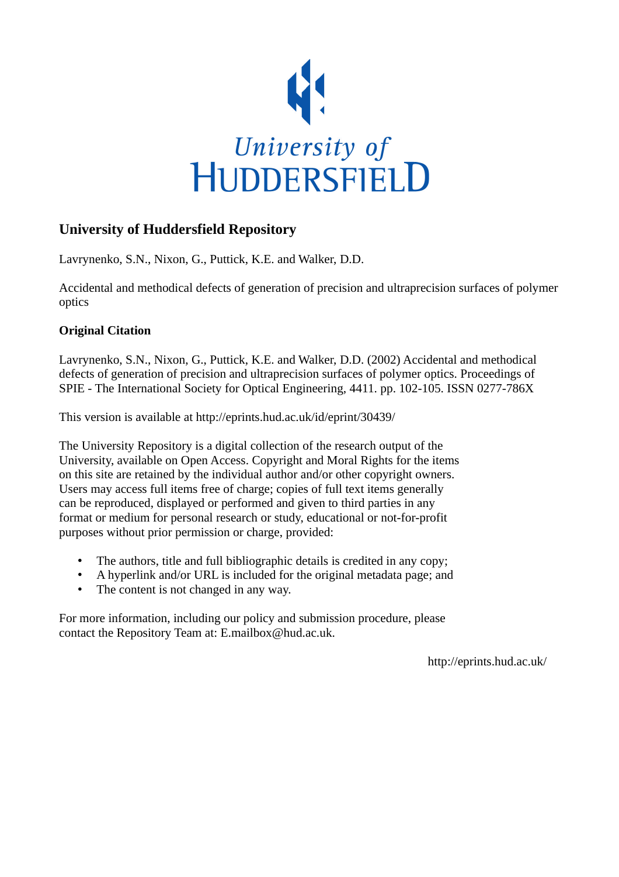

## **University of Huddersfield Repository**

Lavrynenko, S.N., Nixon, G., Puttick, K.E. and Walker, D.D.

Accidental and methodical defects of generation of precision and ultraprecision surfaces of polymer optics

### **Original Citation**

Lavrynenko, S.N., Nixon, G., Puttick, K.E. and Walker, D.D. (2002) Accidental and methodical defects of generation of precision and ultraprecision surfaces of polymer optics. Proceedings of SPIE - The International Society for Optical Engineering, 4411. pp. 102-105. ISSN 0277-786X

This version is available at http://eprints.hud.ac.uk/id/eprint/30439/

The University Repository is a digital collection of the research output of the University, available on Open Access. Copyright and Moral Rights for the items on this site are retained by the individual author and/or other copyright owners. Users may access full items free of charge; copies of full text items generally can be reproduced, displayed or performed and given to third parties in any format or medium for personal research or study, educational or not-for-profit purposes without prior permission or charge, provided:

- The authors, title and full bibliographic details is credited in any copy;
- A hyperlink and/or URL is included for the original metadata page; and
- The content is not changed in any way.

For more information, including our policy and submission procedure, please contact the Repository Team at: E.mailbox@hud.ac.uk.

http://eprints.hud.ac.uk/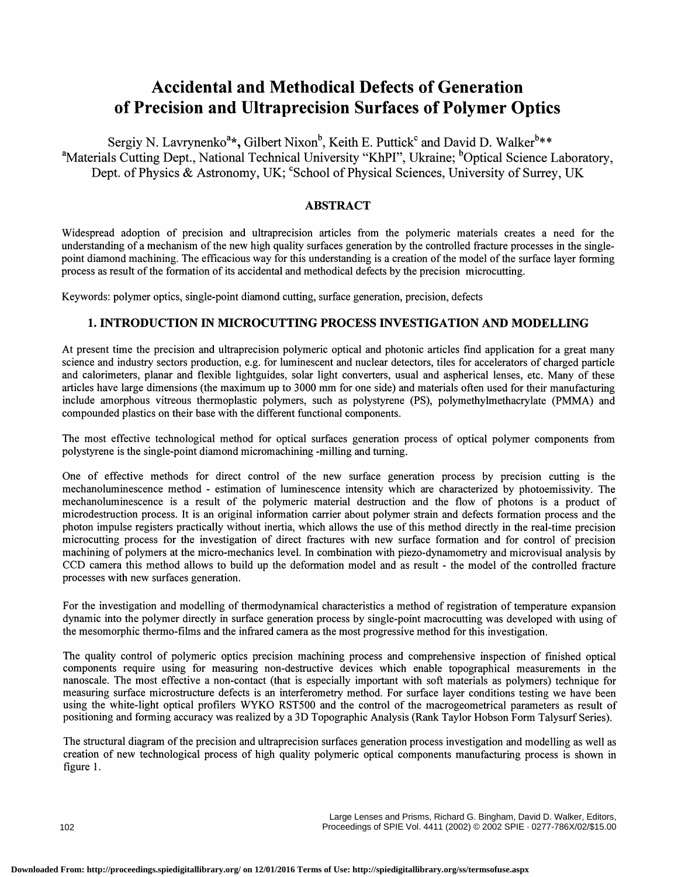# Accidental and Methodical Defects of Generation of Precision and Ultraprecision Surfaces of Polymer Optics

Sergiy N. Lavrynenko<sup>a\*</sup>, Gilbert Nixon<sup>b</sup>, Keith E. Puttick<sup>c</sup> and David D. Walker<sup>b\*\*</sup> <sup>a</sup>Materials Cutting Dept., National Technical University "KhPI", Ukraine; <sup>b</sup>Optical Science Laboratory, Dept. of Physics & Astronomy, UK; <sup>c</sup>School of Physical Sciences, University of Surrey, UK

#### ABSTRACT

Widespread adoption of precision and ultraprecision articles from the polymeric materials creates a need for the understanding of a mechanism of the new high quality surfaces generation by the controlled fracture processes in the singlepoint diamond machining. The efficacious way for this understanding is a creation of the model of the surface layer forming process as result of the formation of its accidental and methodical defects by the precision microcutting.

Keywords: polymer optics, single-point diamond cutting, surface generation, precision, defects

#### 1. INTRODUCTION IN MICROCUTTING PROCESS INVESTIGATION AND MODELLING

At present time the precision and ultraprecision polymeric optical and photonic articles find application for a great many science and industry sectors production, e.g. for luminescent and nuclear detectors, tiles for accelerators of charged particle and calorimeters, planar and flexible lightguides, solar light converters, usual and aspherical lenses, etc. Many of these articles have large dimensions (the maximum up to 3000 mm for one side) and materials often used for their manufacturing include amorphous vitreous thermoplastic polymers, such as polystyrene (PS), polymethylmethacrylate (PMMA) and compounded plastics on their base with the different functional components.

The most effective technological method for optical surfaces generation process of optical polymer components from polystyrene is the single-point diamond micromachining -milling and turning.

One of effective methods for direct control of the new surface generation process by precision cutting is the mechanoluminescence method - estimation of luminescence intensity which are characterized by photoemissivity. The mechanoluminescence is a result of the polymeric material destruction and the flow of photons is a product of microdestruction process. It is an original information carrier about polymer strain and defects formation process and the photon impulse registers practically without inertia, which allows the use of this method directly in the real-time precision microcutting process for the investigation of direct fractures with new surface formation and for control of precision machining of polymers at the micro-mechanics level. In combination with piezo-dynamometry and microvisual analysis by CCD camera this method allows to build up the deformation model and as result - the model of the controlled fracture processes with new surfaces generation.

For the investigation and modelling of thermodynamical characteristics a method of registration of temperature expansion dynamic into the polymer directly in surface generation process by single-point macrocutting was developed with using of the mesomorphic thermo-films and the infrared camera as the most progressive method for this investigation.

The quality control of polymeric optics precision machining process and comprehensive inspection of finished optical<br>components require using for measuring non-destructive devices which enable topographical measurements in nanoscale. The most effective a non-contact (that is especially important with soft materials as polymers) technique for measuring surface microstructure defects is an interferometry method. For surface layer conditions testing we have been using the white-light optical profilers WYKO RST500 and the control of the macrogeometrical parameters as result of positioning and forming accuracy was realized by a 3D Topographic Analysis (Rank Taylor Hobson Form Talysurf Series).

The structural diagram of the precision and ultraprecision surfaces generation process investigation and modelling as well as creation of new technological process of high quality polymeric optical components manufacturing process is shown in figure 1.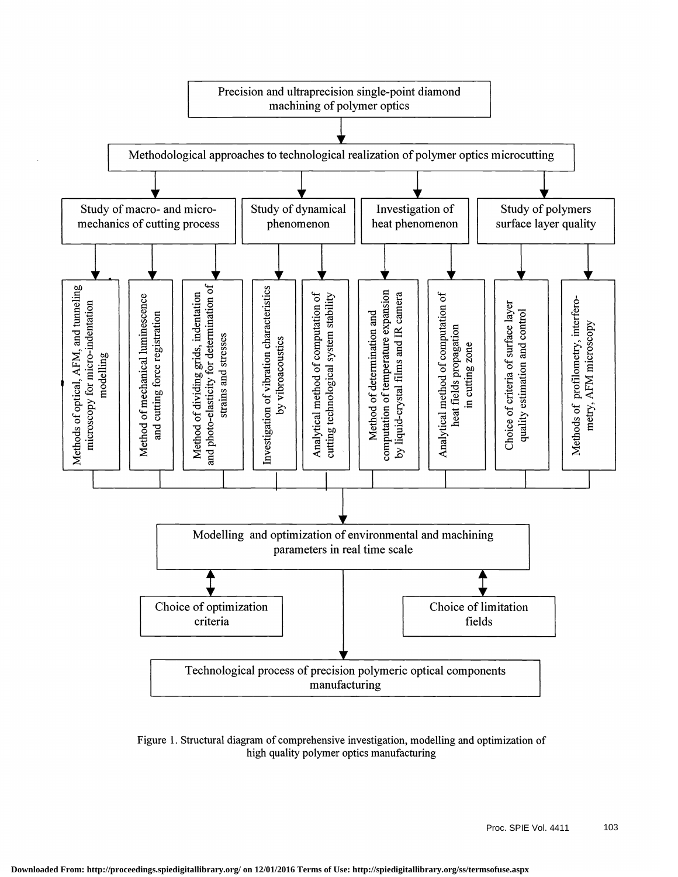

Figure 1. Structural diagram of comprehensive investigation, modelling and optimization of high quality polymer optics manufacturing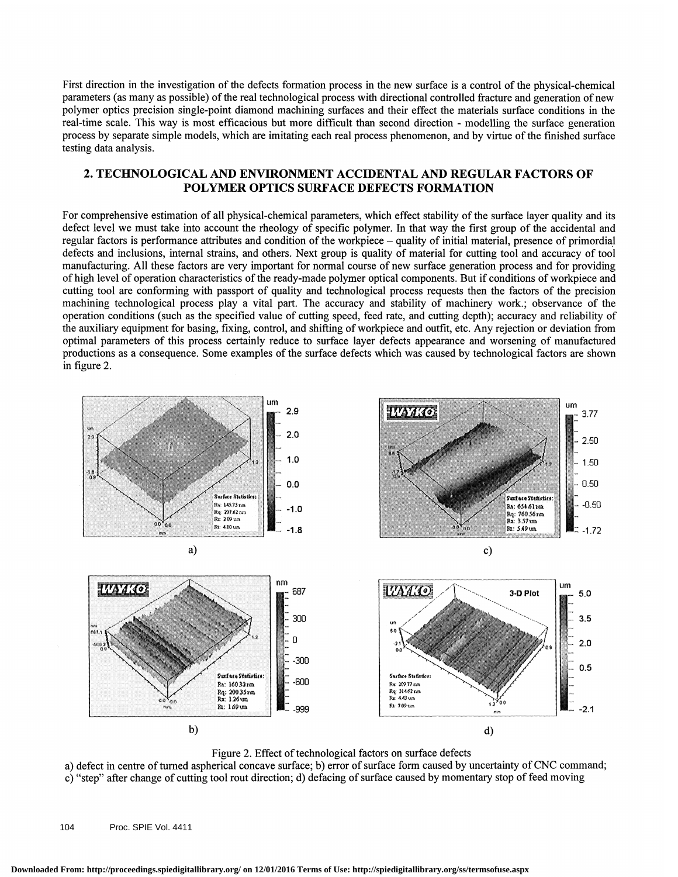First direction in the investigation of the defects formation process in the new surface is a control of the physical-chemical parameters (as many as possible) of the real technological process with directional controlled fracture and generation of new polymer optics precision single-point diamond machining surfaces and their effect the materials surface conditions in the real-time scale. This way is most efficacious but more difficult than second direction - modelling the surface generation process by separate simple models, which are imitating each real process phenomenon, and by virtue of the finished surface testing data analysis.

#### 2. TECHNOLOGICAL AND ENVIRONMENT ACCIDENTAL AND REGULAR FACTORS OF POLYMER OPTICS SURFACE DEFECTS FORMATION

For comprehensive estimation of all physical-chemical parameters, which effect stability of the surface layer quality and its defect level we must take into account the rheology of specific polymer. In that way the first group of the accidental and regular factors is performance attributes and condition of the workpiece —quality of initial material, presence of primordial defects and inclusions, internal strains, and others. Next group is quality of material for cutting tool and accuracy of tool manufacturing. All these factors are very important for normal course of new surface generation process and for providing of high level of operation characteristics of the ready-made polymer optical components. But if conditions of workpiece and cutting tool are conforming with passport of quality and technological process requests then the factors of the precision machining technological process play a vital part. The accuracy and stability of machinery work.; observance of the operation conditions (such as the specified value of cutting speed, feed rate, and cutting depth); accuracy and reliability of the auxiliary equipment for basing, fixing, control, and shifting of workpiece and outfit, etc. Any rejection or deviation from optimal parameters of this process certainly reduce to surface layer defects appearance and worsening of manufactured productions as a consequence. Some examples of the surface defects which was caused by technological factors are shown in figure 2.



Figure 2. Effect of technological factors on surface defects

a) defect in centre of turned aspherical concave surface; b) error of surface form caused by uncertainty of CNC command; c) "step" after change of cutting tool rout direction; d) defacing of surface caused by momentary stop of feed moving